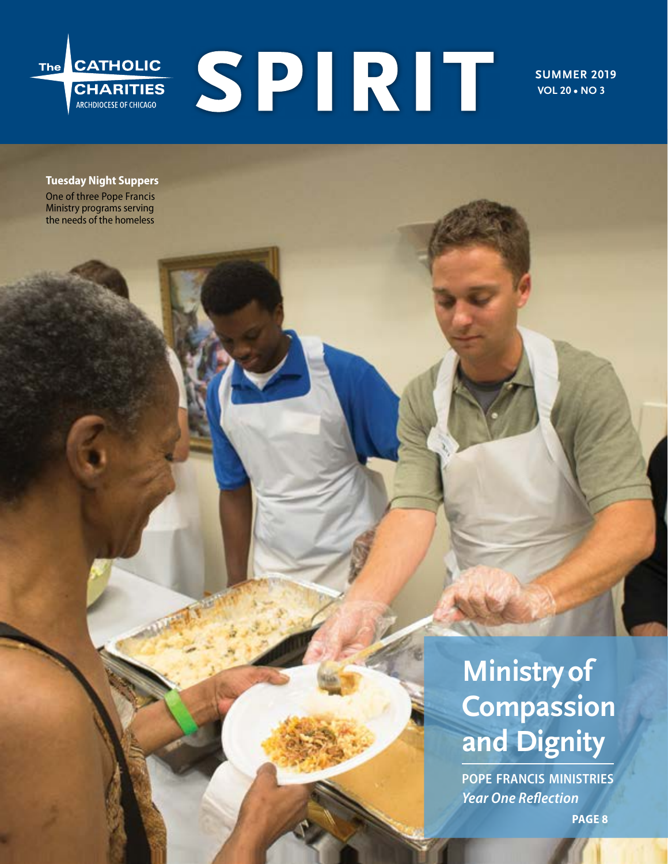

**SUMMER 2019 VOL 20 • NO 3**

### **Tuesday Night Suppers** One of three Pope Francis

Ministry programs serving the needs of the homeless

# **Ministry of Compassion and Dignity**

**pope francis ministries** *Year One Reflection*

**PAGE 8**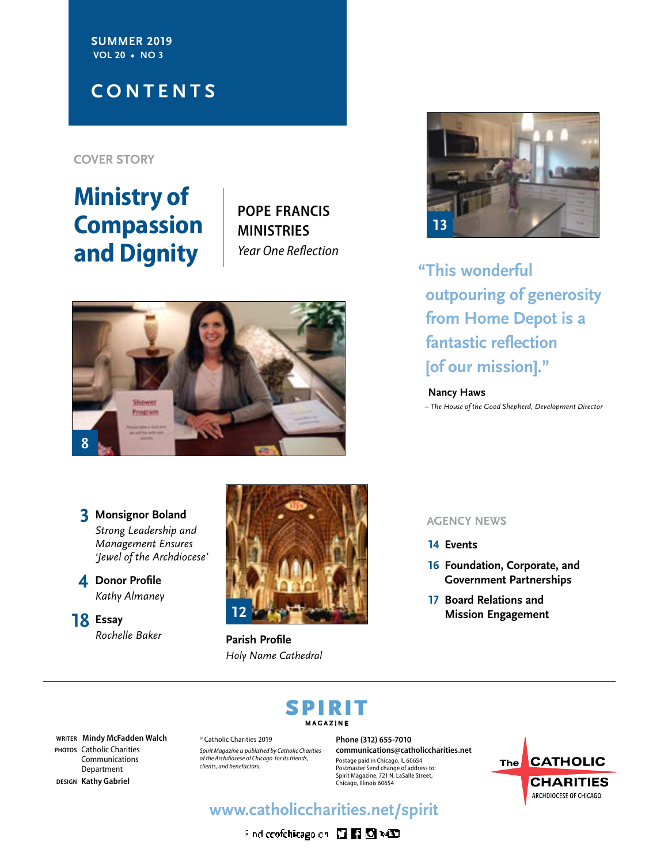**SUMMER 2019 VOL 20 • NO 3**

### **CONTENTS**

**COVER STORY**

# **Ministry of Compassion and Dignity**

**pope francis ministries** *Year One Reflection*



*Strong Leadership and Management Ensures 'Jewel of the Archdiocese'*

- **4 Donor Profile** *Kathy Almaney*
- **18 Essay** *Rochelle Baker*



**Parish Profile** *Holy Name Cathedral*



**"This wonderful outpouring of generosity from Home Depot is a fantastic reflection [of our mission]."** 

#### **Nancy Haws**

*– The House of the Good Shepherd, Development Director*

- **14 Events**
- **16 Foundation, Corporate, and Government Partnerships**
- **17 Board Relations and Mission Engagement**

# SPIRIT **MAGAZINE**

**WRITER Mindy McFadden Walch PHOTOS** Catholic Charities Communications Department **DESIGN Kathy Gabriel**

© Catholic Charities 2019 *Spirit Magazine is published by Catholic Charities of the Archdiocese of Chicago for its friends, clients, and benefactors.*

**Phone (312) 655-7010 communications@catholiccharities.net** Postage paid in Chicago, IL 60654 Postmaster Send change of address to: Spirit Magazine, 721 N. LaSalle Street, Chicago, Illinois 60654



### **www.catholiccharities.net/spirit**

Find coofchicagoidh 四国图 NCD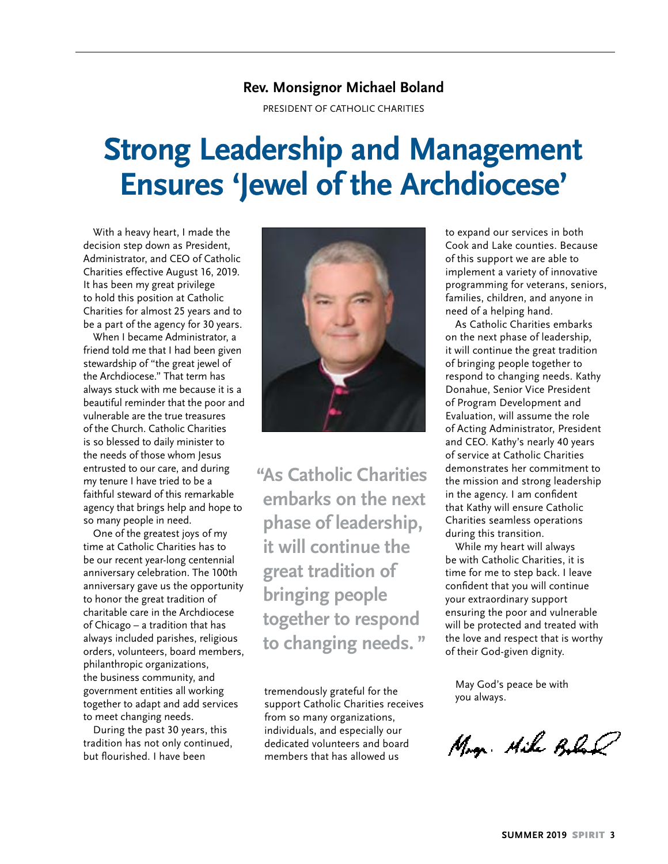### **Rev. Monsignor Michael Boland**

PRESIDENT OF CATHOLIC CHARITIES

# **Strong Leadership and Management Ensures 'Jewel of the Archdiocese'**

With a heavy heart, I made the decision step down as President, Administrator, and CEO of Catholic Charities effective August 16, 2019. It has been my great privilege to hold this position at Catholic Charities for almost 25 years and to be a part of the agency for 30 years.

When I became Administrator, a friend told me that I had been given stewardship of "the great jewel of the Archdiocese." That term has always stuck with me because it is a beautiful reminder that the poor and vulnerable are the true treasures of the Church. Catholic Charities is so blessed to daily minister to the needs of those whom Jesus entrusted to our care, and during my tenure I have tried to be a faithful steward of this remarkable agency that brings help and hope to so many people in need.

One of the greatest joys of my time at Catholic Charities has to be our recent year-long centennial anniversary celebration. The 100th anniversary gave us the opportunity to honor the great tradition of charitable care in the Archdiocese of Chicago – a tradition that has always included parishes, religious orders, volunteers, board members, philanthropic organizations, the business community, and government entities all working together to adapt and add services to meet changing needs.

During the past 30 years, this tradition has not only continued, but flourished. I have been



**"As Catholic Charities embarks on the next phase of leadership, it will continue the great tradition of bringing people together to respond to changing needs. "**

tremendously grateful for the support Catholic Charities receives from so many organizations, individuals, and especially our dedicated volunteers and board members that has allowed us

to expand our services in both Cook and Lake counties. Because of this support we are able to implement a variety of innovative programming for veterans, seniors, families, children, and anyone in need of a helping hand.

As Catholic Charities embarks on the next phase of leadership, it will continue the great tradition of bringing people together to respond to changing needs. Kathy Donahue, Senior Vice President of Program Development and Evaluation, will assume the role of Acting Administrator, President and CEO. Kathy's nearly 40 years of service at Catholic Charities demonstrates her commitment to the mission and strong leadership in the agency. I am confident that Kathy will ensure Catholic Charities seamless operations during this transition.

While my heart will always be with Catholic Charities, it is time for me to step back. I leave confident that you will continue your extraordinary support ensuring the poor and vulnerable will be protected and treated with the love and respect that is worthy of their God-given dignity.

May God's peace be with you always.

May. Mile Bobal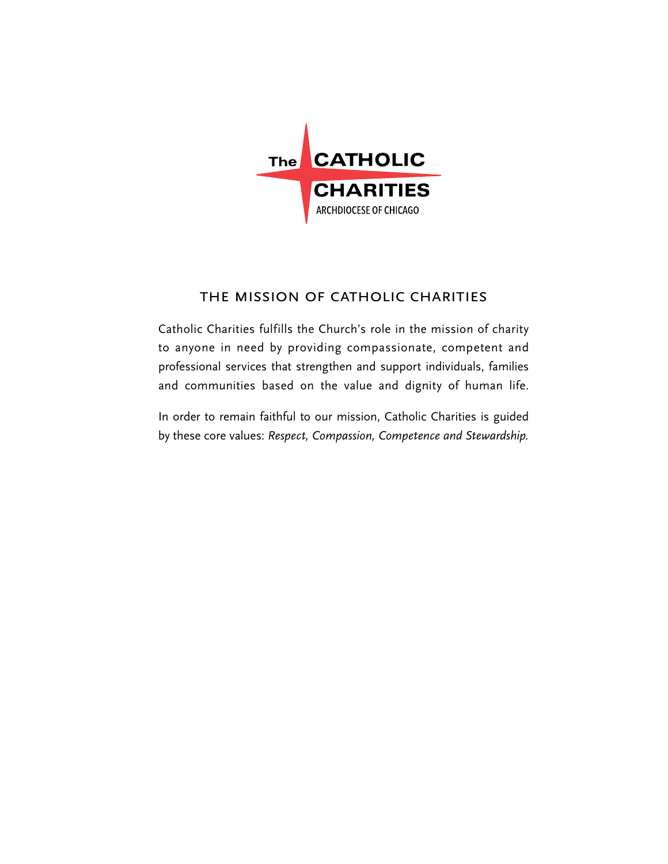

### the mission of catholic charities

Catholic Charities fulfills the Church's role in the mission of charity to anyone in need by providing compassionate, competent and professional services that strengthen and support individuals, families and communities based on the value and dignity of human life.

In order to remain faithful to our mission, Catholic Charities is guided by these core values: *Respect, Compassion, Competence and Stewardship.*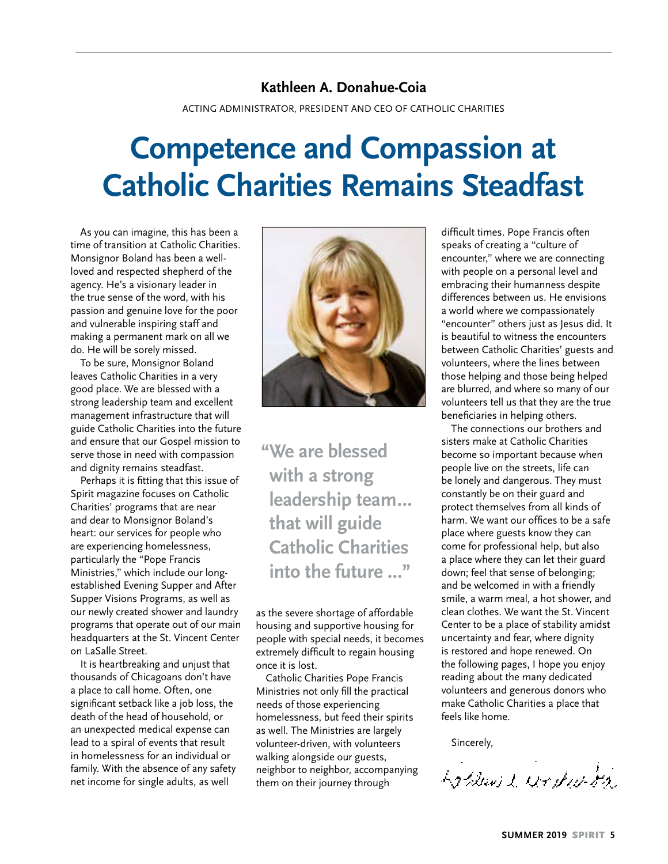### **Kathleen A. Donahue-Coia**

ACTING ADMINISTRATOR, PRESIDENT AND CEO OF CATHOLIC CHARITIES

# **Competence and Compassion at Catholic Charities Remains Steadfast**

As you can imagine, this has been a time of transition at Catholic Charities. Monsignor Boland has been a wellloved and respected shepherd of the agency. He's a visionary leader in the true sense of the word, with his passion and genuine love for the poor and vulnerable inspiring staff and making a permanent mark on all we do. He will be sorely missed.

To be sure, Monsignor Boland leaves Catholic Charities in a very good place. We are blessed with a strong leadership team and excellent management infrastructure that will guide Catholic Charities into the future and ensure that our Gospel mission to serve those in need with compassion and dignity remains steadfast.

Perhaps it is fitting that this issue of Spirit magazine focuses on Catholic Charities' programs that are near and dear to Monsignor Boland's heart: our services for people who are experiencing homelessness, particularly the "Pope Francis Ministries," which include our longestablished Evening Supper and After Supper Visions Programs, as well as our newly created shower and laundry programs that operate out of our main headquarters at the St. Vincent Center on LaSalle Street.

It is heartbreaking and unjust that thousands of Chicagoans don't have a place to call home. Often, one significant setback like a job loss, the death of the head of household, or an unexpected medical expense can lead to a spiral of events that result in homelessness for an individual or family. With the absence of any safety net income for single adults, as well



**"We are blessed with a strong leadership team… that will guide Catholic Charities into the future …"**

as the severe shortage of affordable housing and supportive housing for people with special needs, it becomes extremely difficult to regain housing once it is lost.

Catholic Charities Pope Francis Ministries not only fill the practical needs of those experiencing homelessness, but feed their spirits as well. The Ministries are largely volunteer-driven, with volunteers walking alongside our guests, neighbor to neighbor, accompanying them on their journey through

difficult times. Pope Francis often speaks of creating a "culture of encounter," where we are connecting with people on a personal level and embracing their humanness despite differences between us. He envisions a world where we compassionately "encounter" others just as Jesus did. It is beautiful to witness the encounters between Catholic Charities' guests and volunteers, where the lines between those helping and those being helped are blurred, and where so many of our volunteers tell us that they are the true beneficiaries in helping others.

The connections our brothers and sisters make at Catholic Charities become so important because when people live on the streets, life can be lonely and dangerous. They must constantly be on their guard and protect themselves from all kinds of harm. We want our offices to be a safe place where guests know they can come for professional help, but also a place where they can let their guard down; feel that sense of belonging; and be welcomed in with a friendly smile, a warm meal, a hot shower, and clean clothes. We want the St. Vincent Center to be a place of stability amidst uncertainty and fear, where dignity is restored and hope renewed. On the following pages, I hope you enjoy reading about the many dedicated volunteers and generous donors who make Catholic Charities a place that feels like home.

Sincerely,

La Blivit workers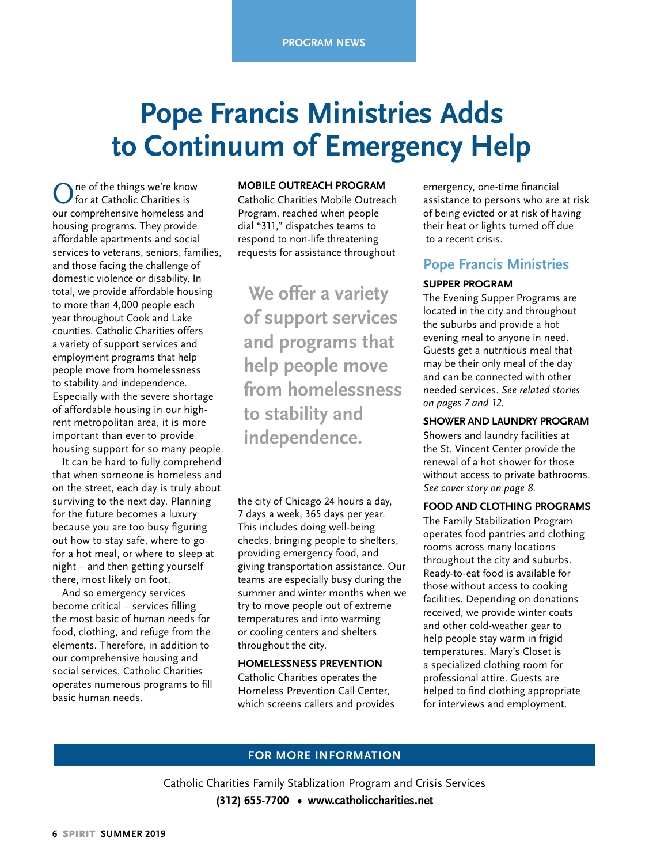# **Pope Francis Ministries Adds to Continuum of Emergency Help**

ne of the things we're know for at Catholic Charities is our comprehensive homeless and housing programs. They provide affordable apartments and social services to veterans, seniors, families, and those facing the challenge of domestic violence or disability. In total, we provide affordable housing to more than 4,000 people each year throughout Cook and Lake counties. Catholic Charities offers a variety of support services and employment programs that help people move from homelessness to stability and independence. Especially with the severe shortage of affordable housing in our highrent metropolitan area, it is more important than ever to provide housing support for so many people.

It can be hard to fully comprehend that when someone is homeless and on the street, each day is truly about surviving to the next day. Planning for the future becomes a luxury because you are too busy figuring out how to stay safe, where to go for a hot meal, or where to sleep at night – and then getting yourself there, most likely on foot.

And so emergency services become critical – services filling the most basic of human needs for food, clothing, and refuge from the elements. Therefore, in addition to our comprehensive housing and social services, Catholic Charities operates numerous programs to fill basic human needs.

#### **MOBILE OUTREACH PROGRAM**

Catholic Charities Mobile Outreach Program, reached when people dial "311," dispatches teams to respond to non-life threatening requests for assistance throughout

 **We offer a variety of support services and programs that help people move from homelessness to stability and independence.** 

the city of Chicago 24 hours a day, 7 days a week, 365 days per year. This includes doing well-being checks, bringing people to shelters, providing emergency food, and giving transportation assistance. Our teams are especially busy during the summer and winter months when we try to move people out of extreme temperatures and into warming or cooling centers and shelters throughout the city.

#### **HOMELESSNESS PREVENTION**

Catholic Charities operates the Homeless Prevention Call Center, which screens callers and provides emergency, one-time financial assistance to persons who are at risk of being evicted or at risk of having their heat or lights turned off due to a recent crisis.

### **Pope Francis Ministries**

#### **SUPPER PROGRAM**

The Evening Supper Programs are located in the city and throughout the suburbs and provide a hot evening meal to anyone in need. Guests get a nutritious meal that may be their only meal of the day and can be connected with other needed services. *See related stories on pages 7 and 12.*

#### **SHOWER AND LAUNDRY PROGRAM**

Showers and laundry facilities at the St. Vincent Center provide the renewal of a hot shower for those without access to private bathrooms. *See cover story on page 8.*

#### **FOOD AND CLOTHING PROGRAMS**

The Family Stabilization Program operates food pantries and clothing rooms across many locations throughout the city and suburbs. Ready-to-eat food is available for those without access to cooking facilities. Depending on donations received, we provide winter coats and other cold-weather gear to help people stay warm in frigid temperatures. Mary's Closet is a specialized clothing room for professional attire. Guests are helped to find clothing appropriate for interviews and employment.

### **FOR MORE INFORMATION**

Catholic Charities Family Stablization Program and Crisis Services **(312) 655-7700 • www.catholiccharities.net**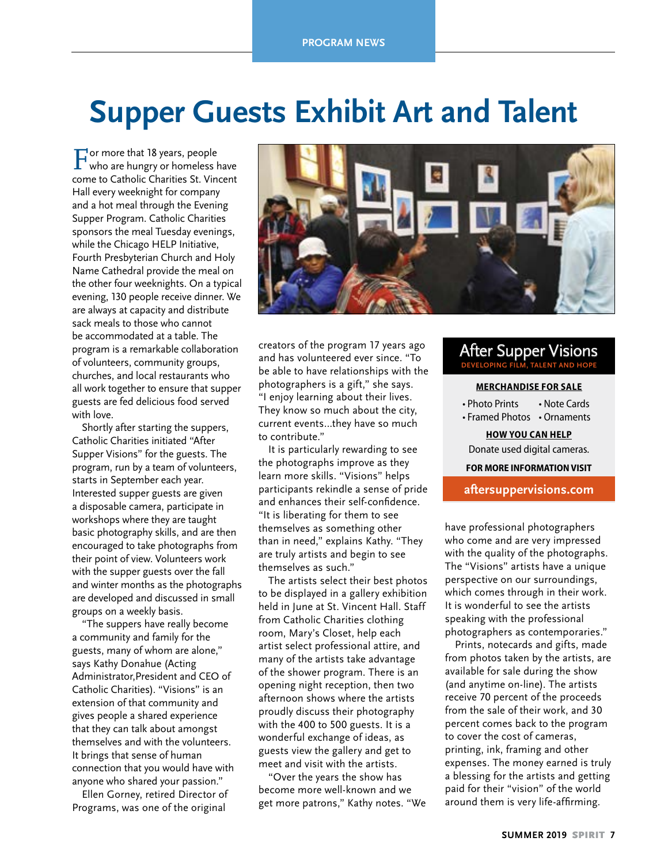# **Supper Guests Exhibit Art and Talent**

For more that 18 years, people who are hungry or homeless have come to Catholic Charities St. Vincent Hall every weeknight for company and a hot meal through the Evening Supper Program. Catholic Charities sponsors the meal Tuesday evenings, while the Chicago HELP Initiative, Fourth Presbyterian Church and Holy Name Cathedral provide the meal on the other four weeknights. On a typical evening, 130 people receive dinner. We are always at capacity and distribute sack meals to those who cannot be accommodated at a table. The program is a remarkable collaboration of volunteers, community groups, churches, and local restaurants who all work together to ensure that supper guests are fed delicious food served with love.

Shortly after starting the suppers, Catholic Charities initiated "After Supper Visions" for the guests. The program, run by a team of volunteers, starts in September each year. Interested supper guests are given a disposable camera, participate in workshops where they are taught basic photography skills, and are then encouraged to take photographs from their point of view. Volunteers work with the supper guests over the fall and winter months as the photographs are developed and discussed in small groups on a weekly basis.

"The suppers have really become a community and family for the guests, many of whom are alone," says Kathy Donahue (Acting Administrator,President and CEO of Catholic Charities). "Visions" is an extension of that community and gives people a shared experience that they can talk about amongst themselves and with the volunteers. It brings that sense of human connection that you would have with anyone who shared your passion."

Ellen Gorney, retired Director of Programs, was one of the original



creators of the program 17 years ago and has volunteered ever since. "To be able to have relationships with the photographers is a gift," she says. "I enjoy learning about their lives. They know so much about the city, current events…they have so much to contribute."

It is particularly rewarding to see the photographs improve as they learn more skills. "Visions" helps participants rekindle a sense of pride and enhances their self-confidence. "It is liberating for them to see themselves as something other than in need," explains Kathy. "They are truly artists and begin to see themselves as such."

The artists select their best photos to be displayed in a gallery exhibition held in June at St. Vincent Hall. Staff from Catholic Charities clothing room, Mary's Closet, help each artist select professional attire, and many of the artists take advantage of the shower program. There is an opening night reception, then two afternoon shows where the artists proudly discuss their photography with the 400 to 500 guests. It is a wonderful exchange of ideas, as guests view the gallery and get to meet and visit with the artists.

"Over the years the show has become more well-known and we get more patrons," Kathy notes. "We

### After Supper Visions **DEVELOPING FILM, TALENT AND HOPE**

#### **MERCHANDISE FOR SALE**

• Photo Prints • Note Cards

• Framed Photos • Ornaments

**HOW YOU CAN HELP** Donate used digital cameras.

**FOR MORE INFORMATION VISIT** 

#### **aftersuppervisions.com**

have professional photographers who come and are very impressed with the quality of the photographs. The "Visions" artists have a unique perspective on our surroundings, which comes through in their work. It is wonderful to see the artists speaking with the professional photographers as contemporaries."

Prints, notecards and gifts, made from photos taken by the artists, are available for sale during the show (and anytime on-line). The artists receive 70 percent of the proceeds from the sale of their work, and 30 percent comes back to the program to cover the cost of cameras, printing, ink, framing and other expenses. The money earned is truly a blessing for the artists and getting paid for their "vision" of the world around them is very life-affirming.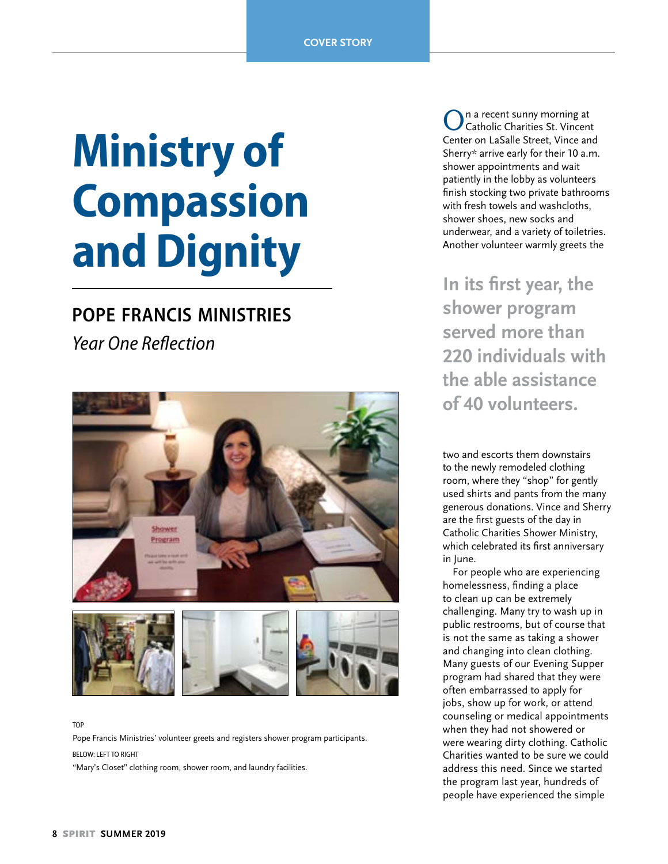# **Ministry of Compassion and Dignity**

### **pope francis ministries**

*Year One Reflection*



TOP

Pope Francis Ministries' volunteer greets and registers shower program participants.

BELOW: LEFT TO RIGHT

"Mary's Closet" clothing room, shower room, and laundry facilities.

On a recent sunny morning at Catholic Charities St. Vincent Center on LaSalle Street, Vince and Sherry\* arrive early for their 10 a.m. shower appointments and wait patiently in the lobby as volunteers finish stocking two private bathrooms with fresh towels and washcloths, shower shoes, new socks and underwear, and a variety of toiletries. Another volunteer warmly greets the

**In its first year, the shower program served more than 220 individuals with the able assistance of 40 volunteers.** 

two and escorts them downstairs to the newly remodeled clothing room, where they "shop" for gently used shirts and pants from the many generous donations. Vince and Sherry are the first guests of the day in Catholic Charities Shower Ministry, which celebrated its first anniversary in June.

For people who are experiencing homelessness, finding a place to clean up can be extremely challenging. Many try to wash up in public restrooms, but of course that is not the same as taking a shower and changing into clean clothing. Many guests of our Evening Supper program had shared that they were often embarrassed to apply for jobs, show up for work, or attend counseling or medical appointments when they had not showered or were wearing dirty clothing. Catholic Charities wanted to be sure we could address this need. Since we started the program last year, hundreds of people have experienced the simple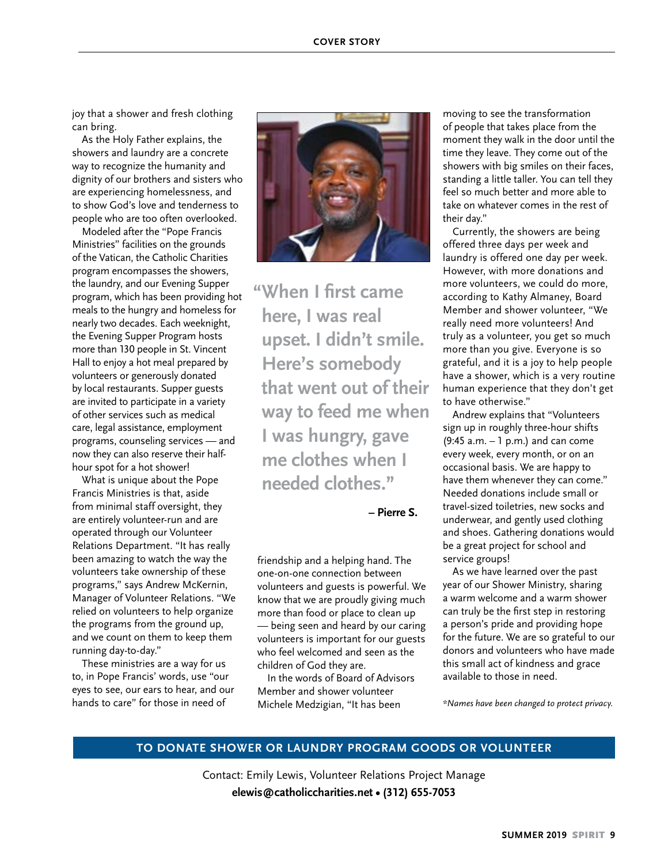joy that a shower and fresh clothing can bring.

As the Holy Father explains, the showers and laundry are a concrete way to recognize the humanity and dignity of our brothers and sisters who are experiencing homelessness, and to show God's love and tenderness to people who are too often overlooked.

Modeled after the "Pope Francis Ministries" facilities on the grounds of the Vatican, the Catholic Charities program encompasses the showers, the laundry, and our Evening Supper program, which has been providing hot meals to the hungry and homeless for nearly two decades. Each weeknight, the Evening Supper Program hosts more than 130 people in St. Vincent Hall to enjoy a hot meal prepared by volunteers or generously donated by local restaurants. Supper guests are invited to participate in a variety of other services such as medical care, legal assistance, employment programs, counseling services — and now they can also reserve their halfhour spot for a hot shower!

What is unique about the Pope Francis Ministries is that, aside from minimal staff oversight, they are entirely volunteer-run and are operated through our Volunteer Relations Department. "It has really been amazing to watch the way the volunteers take ownership of these programs," says Andrew McKernin, Manager of Volunteer Relations. "We relied on volunteers to help organize the programs from the ground up, and we count on them to keep them running day-to-day."

These ministries are a way for us to, in Pope Francis' words, use "our eyes to see, our ears to hear, and our hands to care" for those in need of



**"When I first came here, I was real upset. I didn't smile. Here's somebody that went out of their way to feed me when I was hungry, gave me clothes when I needed clothes."**

 **– Pierre S.**

friendship and a helping hand. The one-on-one connection between volunteers and guests is powerful. We know that we are proudly giving much more than food or place to clean up — being seen and heard by our caring volunteers is important for our guests who feel welcomed and seen as the children of God they are.

In the words of Board of Advisors Member and shower volunteer Michele Medzigian, "It has been

moving to see the transformation of people that takes place from the moment they walk in the door until the time they leave. They come out of the showers with big smiles on their faces, standing a little taller. You can tell they feel so much better and more able to take on whatever comes in the rest of their day."

Currently, the showers are being offered three days per week and laundry is offered one day per week. However, with more donations and more volunteers, we could do more, according to Kathy Almaney, Board Member and shower volunteer, "We really need more volunteers! And truly as a volunteer, you get so much more than you give. Everyone is so grateful, and it is a joy to help people have a shower, which is a very routine human experience that they don't get to have otherwise."

Andrew explains that "Volunteers sign up in roughly three-hour shifts (9:45 a.m. – 1 p.m.) and can come every week, every month, or on an occasional basis. We are happy to have them whenever they can come." Needed donations include small or travel-sized toiletries, new socks and underwear, and gently used clothing and shoes. Gathering donations would be a great project for school and service groups!

As we have learned over the past year of our Shower Ministry, sharing a warm welcome and a warm shower can truly be the first step in restoring a person's pride and providing hope for the future. We are so grateful to our donors and volunteers who have made this small act of kindness and grace available to those in need.

*\*Names have been changed to protect privacy.*

#### **TO DONATE SHOWER OR LAUNDRY PROGRAM GOODS OR VOLUNTEER**

Contact: Emily Lewis, Volunteer Relations Project Manage **elewis@catholiccharities.net • (312) 655-7053**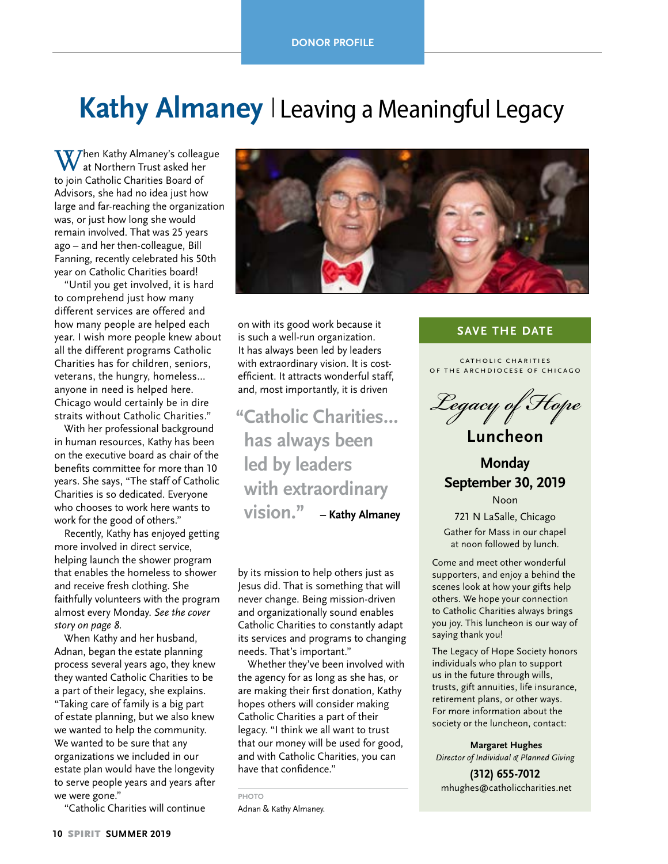# Kathy Almaney | Leaving a Meaningful Legacy

 $\bf W$ hen Kathy Almaney's colleague at Northern Trust asked her to join Catholic Charities Board of Advisors, she had no idea just how large and far-reaching the organization was, or just how long she would remain involved. That was 25 years ago – and her then-colleague, Bill Fanning, recently celebrated his 50th year on Catholic Charities board!

"Until you get involved, it is hard to comprehend just how many different services are offered and how many people are helped each year. I wish more people knew about all the different programs Catholic Charities has for children, seniors, veterans, the hungry, homeless… anyone in need is helped here. Chicago would certainly be in dire straits without Catholic Charities."

With her professional background in human resources, Kathy has been on the executive board as chair of the benefits committee for more than 10 years. She says, "The staff of Catholic Charities is so dedicated. Everyone who chooses to work here wants to work for the good of others."

Recently, Kathy has enjoyed getting more involved in direct service, helping launch the shower program that enables the homeless to shower and receive fresh clothing. She faithfully volunteers with the program almost every Monday. *See the cover story on page 8.*

When Kathy and her husband, Adnan, began the estate planning process several years ago, they knew they wanted Catholic Charities to be a part of their legacy, she explains. "Taking care of family is a big part of estate planning, but we also knew we wanted to help the community. We wanted to be sure that any organizations we included in our estate plan would have the longevity to serve people years and years after we were gone."

"Catholic Charities will continue



on with its good work because it is such a well-run organization. It has always been led by leaders with extraordinary vision. It is costefficient. It attracts wonderful staff, and, most importantly, it is driven

**"Catholic Charities… has always been led by leaders with extraordinary vision." – Kathy Almaney**

by its mission to help others just as Jesus did. That is something that will never change. Being mission-driven and organizationally sound enables Catholic Charities to constantly adapt its services and programs to changing needs. That's important."

Whether they've been involved with the agency for as long as she has, or are making their first donation, Kathy hopes others will consider making Catholic Charities a part of their legacy. "I think we all want to trust that our money will be used for good, and with Catholic Charities, you can have that confidence."

**PHOTO**

Adnan & Kathy Almaney.

### **SAVE THE DATE**

CATHOLIC CHARITIES OF THE ARCHDIOCESE OF CHICAGO



**Monday September 30, 2019**

Noon 721 N LaSalle, Chicago Gather for Mass in our chapel at noon followed by lunch.

Come and meet other wonderful supporters, and enjoy a behind the scenes look at how your gifts help others. We hope your connection to Catholic Charities always brings you joy. This luncheon is our way of saying thank you!

The Legacy of Hope Society honors individuals who plan to support us in the future through wills, trusts, gift annuities, life insurance, retirement plans, or other ways. For more information about the society or the luncheon, contact:

 **Margaret Hughes** *Director of Individual & Planned Giving*

**(312) 655-7012** mhughes@catholiccharities.net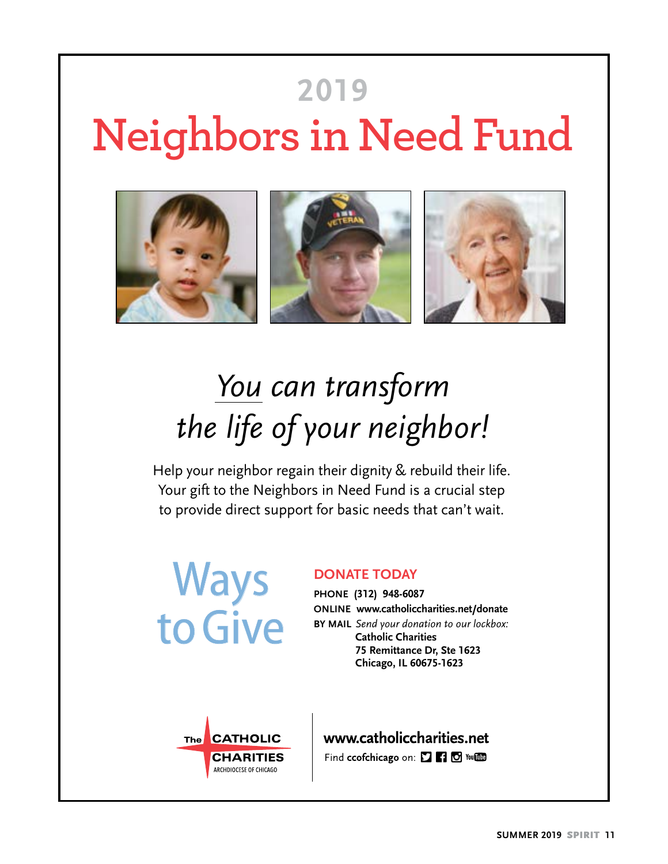# **Neighbors in Need Fund 2019**



# *You can transform the life of your neighbor!*

Help your neighbor regain their dignity & rebuild their life. Your gift to the Neighbors in Need Fund is a crucial step to provide direct support for basic needs that can't wait.

Ways to Give

### **DONATE TODAY**

**PHONE (312) 948-6087 ONLINE www.catholiccharities.net/donate BY MAIL** *Send your donation to our lockbox:* **Catholic Charities 75 Remittance Dr, Ste 1623 Chicago, IL 60675-1623**



www.catholiccharities.net Find ccofchicago on: [ [ ] [ ] To You [ ] [ ]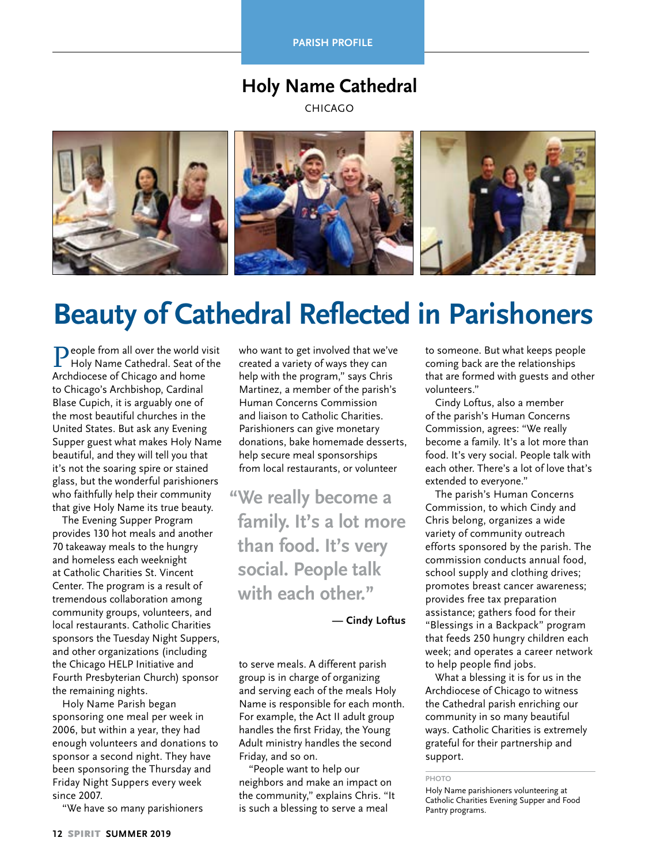**PARISH PROFILE** 

### **Holy Name Cathedral**

CHICAGO



# **Beauty of Cathedral Reflected in Parishoners**

People from all over the world visit Holy Name Cathedral. Seat of the Archdiocese of Chicago and home to Chicago's Archbishop, Cardinal Blase Cupich, it is arguably one of the most beautiful churches in the United States. But ask any Evening Supper guest what makes Holy Name beautiful, and they will tell you that it's not the soaring spire or stained glass, but the wonderful parishioners who faithfully help their community that give Holy Name its true beauty.

The Evening Supper Program provides 130 hot meals and another 70 takeaway meals to the hungry and homeless each weeknight at Catholic Charities St. Vincent Center. The program is a result of tremendous collaboration among community groups, volunteers, and local restaurants. Catholic Charities sponsors the Tuesday Night Suppers, and other organizations (including the Chicago HELP Initiative and Fourth Presbyterian Church) sponsor the remaining nights.

Holy Name Parish began sponsoring one meal per week in 2006, but within a year, they had enough volunteers and donations to sponsor a second night. They have been sponsoring the Thursday and Friday Night Suppers every week since 2007.

"We have so many parishioners

who want to get involved that we've created a variety of ways they can help with the program," says Chris Martinez, a member of the parish's Human Concerns Commission and liaison to Catholic Charities. Parishioners can give monetary donations, bake homemade desserts, help secure meal sponsorships from local restaurants, or volunteer

**"We really become a family. It's a lot more than food. It's very social. People talk with each other."** 

 **— Cindy Loftus**

to serve meals. A different parish group is in charge of organizing and serving each of the meals Holy Name is responsible for each month. For example, the Act II adult group handles the first Friday, the Young Adult ministry handles the second Friday, and so on.

"People want to help our neighbors and make an impact on the community," explains Chris. "It is such a blessing to serve a meal

to someone. But what keeps people coming back are the relationships that are formed with guests and other volunteers."

Cindy Loftus, also a member of the parish's Human Concerns Commission, agrees: "We really become a family. It's a lot more than food. It's very social. People talk with each other. There's a lot of love that's extended to everyone."

The parish's Human Concerns Commission, to which Cindy and Chris belong, organizes a wide variety of community outreach efforts sponsored by the parish. The commission conducts annual food, school supply and clothing drives; promotes breast cancer awareness; provides free tax preparation assistance; gathers food for their "Blessings in a Backpack" program that feeds 250 hungry children each week; and operates a career network to help people find jobs.

What a blessing it is for us in the Archdiocese of Chicago to witness the Cathedral parish enriching our community in so many beautiful ways. Catholic Charities is extremely grateful for their partnership and support.

**PHOTO**

Holy Name parishioners volunteering at Catholic Charities Evening Supper and Food Pantry programs.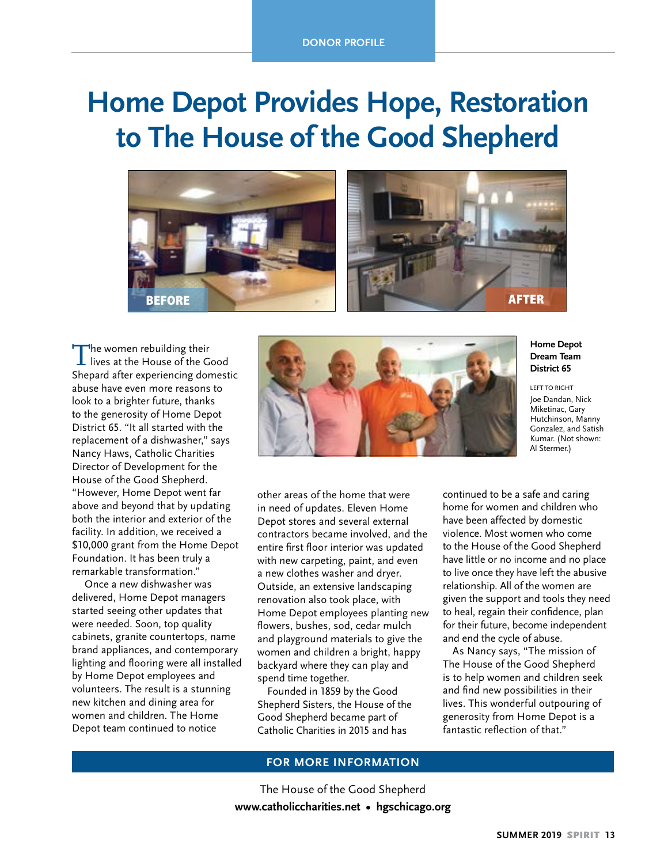# **Home Depot Provides Hope, Restoration to The House of the Good Shepherd**



The women rebuilding their<br>lives at the House of the Good Shepard after experiencing domestic abuse have even more reasons to look to a brighter future, thanks to the generosity of Home Depot District 65. "It all started with the replacement of a dishwasher," says Nancy Haws, Catholic Charities Director of Development for the House of the Good Shepherd. "However, Home Depot went far above and beyond that by updating both the interior and exterior of the facility. In addition, we received a \$10,000 grant from the Home Depot Foundation. It has been truly a remarkable transformation."

 Once a new dishwasher was delivered, Home Depot managers started seeing other updates that were needed. Soon, top quality cabinets, granite countertops, name brand appliances, and contemporary lighting and flooring were all installed by Home Depot employees and volunteers. The result is a stunning new kitchen and dining area for women and children. The Home Depot team continued to notice



#### **Home Depot Dream Team District 65**

LEFT TO RIGHT Joe Dandan, Nick Miketinac, Gary Hutchinson, Manny Gonzalez, and Satish Kumar. (Not shown: Al Stermer)

other areas of the home that were in need of updates. Eleven Home Depot stores and several external contractors became involved, and the entire first floor interior was updated with new carpeting, paint, and even a new clothes washer and dryer. Outside, an extensive landscaping renovation also took place, with Home Depot employees planting new flowers, bushes, sod, cedar mulch and playground materials to give the women and children a bright, happy backyard where they can play and spend time together.

Founded in 1859 by the Good Shepherd Sisters, the House of the Good Shepherd became part of Catholic Charities in 2015 and has

continued to be a safe and caring home for women and children who have been affected by domestic violence. Most women who come to the House of the Good Shepherd have little or no income and no place to live once they have left the abusive relationship. All of the women are given the support and tools they need to heal, regain their confidence, plan for their future, become independent and end the cycle of abuse.

As Nancy says, "The mission of The House of the Good Shepherd is to help women and children seek and find new possibilities in their lives. This wonderful outpouring of generosity from Home Depot is a fantastic reflection of that."

#### **FOR MORE INFORMATION**

The House of the Good Shepherd **www.catholiccharities.net • hgschicago.org**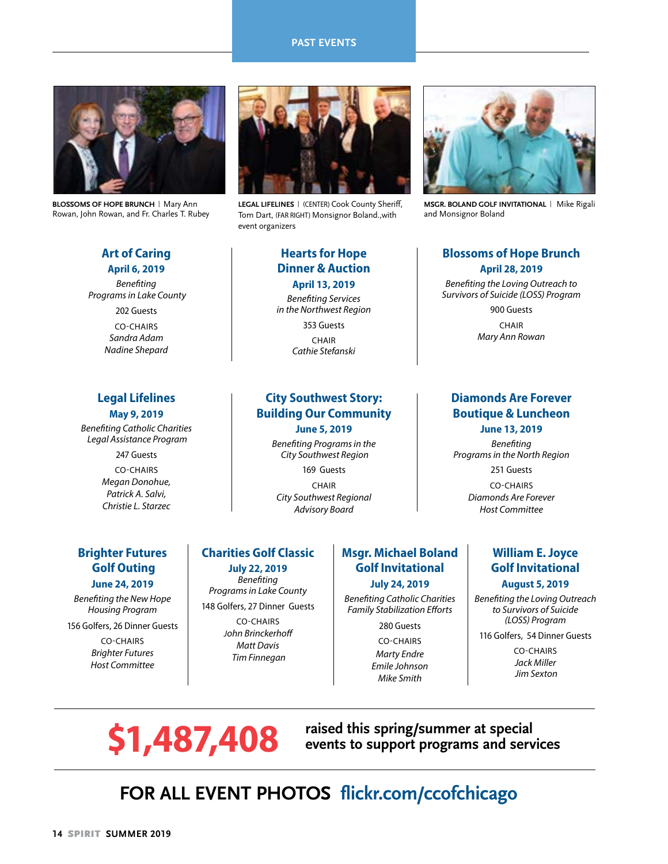#### **PAST EVENTS**



**BLOSSOMS OF HOPE BRUNCH** | Mary Ann Rowan, John Rowan, and Fr. Charles T. Rubey

#### **Art of Caring April 6, 2019**

*Benefiting Programs in Lake County* 202 Guests CO-CHAIRS *Sandra Adam Nadine Shepard*

#### **Legal Lifelines May 9, 2019**

*Benefiting Catholic Charities Legal Assistance Program*

> 247 Guests CO-CHAIRS *Megan Donohue, Patrick A. Salvi, Christie L. Starzec*



**LEGAL LIFELINES** | (CENTER) Cook County Sheriff, Tom Dart, (FAR RIGHT) Monsignor Boland.,with event organizers

#### **Hearts for Hope Dinner & Auction April 13, 2019**

*Benefiting Services in the Northwest Region*

> 353 Guests CHAIR *Cathie Stefanski*

### **City Southwest Story: Building Our Community June 5, 2019**

*Benefiting Programs in the City Southwest Region*

169 Guests CHAIR *City Southwest Regional Advisory Board*

**MSGR. BOLAND GOLF INVITATIONAL** | Mike Rigali and Monsignor Boland

#### **Blossoms of Hope Brunch April 28, 2019**

*Benefiting the Loving Outreach to Survivors of Suicide (LOSS) Program*

> 900 Guests CHAIR *Mary Ann Rowan*

### **Diamonds Are Forever Boutique & Luncheon June 13, 2019**

*Benefiting Programs in the North Region* 251 Guests CO-CHAIRS *Diamonds Are Forever Host Committee*

### **Brighter Futures Golf Outing June 24, 2019**

*Benefiting the New Hope Housing Program* 

156 Golfers, 26 Dinner Guests

CO-CHAIRS *Brighter Futures Host Committee*

### **Charities Golf Classic July 22, 2019**

*Benefiting Programs in Lake County* 148 Golfers, 27 Dinner Guests

> CO-CHAIRS *John Brinckerhoff Matt Davis Tim Finnegan*

### **Msgr. Michael Boland Golf Invitational July 24, 2019**

*Benefiting Catholic Charities Family Stabilization Efforts*

> 280 Guests CO-CHAIRS *Marty Endre Emile Johnson Mike Smith*

### **William E. Joyce Golf Invitational**

#### **August 5, 2019**

*Benefiting the Loving Outreach to Survivors of Suicide (LOSS) Program*

116 Golfers, 54 Dinner Guests

CO-CHAIRS *Jack Miller Jim Sexton*

**\$1,487,408** raised this spring/summer at special events to support programs and served **events to support programs and services** 

### **FOR ALL EVENT PHOTOS flickr.com/ccofchicago**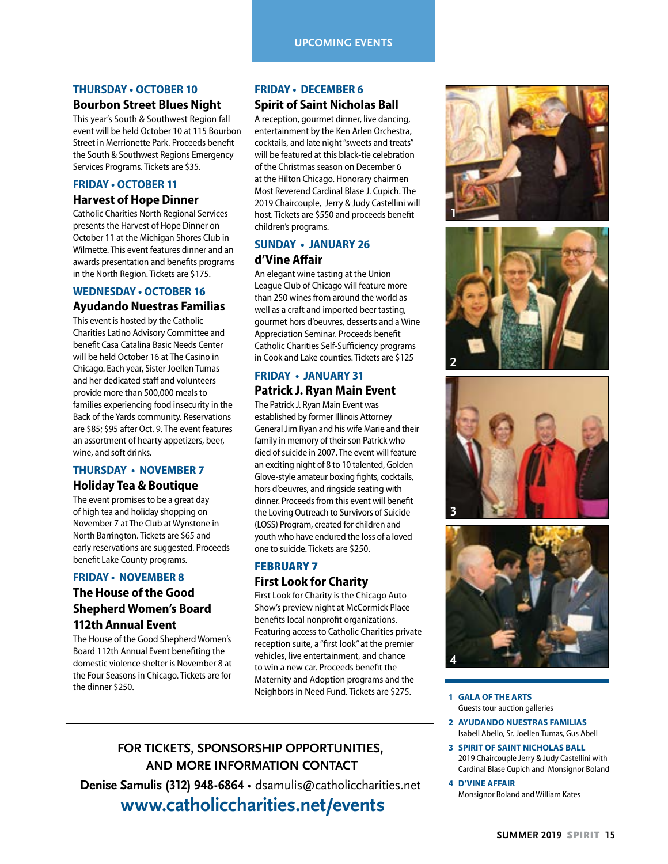### **THURSDAY • OCTOBER 10**

#### **Bourbon Street Blues Night**

This year's South & Southwest Region fall event will be held October 10 at 115 Bourbon Street in Merrionette Park. Proceeds benefit the South & Southwest Regions Emergency Services Programs. Tickets are \$35.

### **FRIDAY • OCTOBER 11 Harvest of Hope Dinner**

Catholic Charities North Regional Services presents the Harvest of Hope Dinner on October 11 at the Michigan Shores Club in Wilmette. This event features dinner and an awards presentation and benefits programs in the North Region. Tickets are \$175.

### **WEDNESDAY • OCTOBER 16**

#### **Ayudando Nuestras Familias**

This event is hosted by the Catholic Charities Latino Advisory Committee and benefit Casa Catalina Basic Needs Center will be held October 16 at The Casino in Chicago. Each year, Sister Joellen Tumas and her dedicated staff and volunteers provide more than 500,000 meals to families experiencing food insecurity in the Back of the Yards community. Reservations are \$85; \$95 after Oct. 9. The event features an assortment of hearty appetizers, beer, wine, and soft drinks.

#### **THURSDAY • NOVEMBER 7 Holiday Tea & Boutique**

The event promises to be a great day of high tea and holiday shopping on November 7 at The Club at Wynstone in North Barrington. Tickets are \$65 and early reservations are suggested. Proceeds benefit Lake County programs.

### **FRIDAY • NOVEMBER 8**

### **The House of the Good Shepherd Women's Board 112th Annual Event**

The House of the Good Shepherd Women's Board 112th Annual Event benefiting the domestic violence shelter is November 8 at the Four Seasons in Chicago. Tickets are for the dinner \$250.

#### **FRIDAY • DECEMBER 6 Spirit of Saint Nicholas Ball**

A reception, gourmet dinner, live dancing, entertainment by the Ken Arlen Orchestra, cocktails, and late night "sweets and treats" will be featured at this black-tie celebration of the Christmas season on December 6 at the Hilton Chicago. Honorary chairmen Most Reverend Cardinal Blase J. Cupich. The 2019 Chaircouple, Jerry & Judy Castellini will host. Tickets are \$550 and proceeds benefit children's programs.

### **SUNDAY • JANUARY 26 d'Vine Affair**

An elegant wine tasting at the Union League Club of Chicago will feature more than 250 wines from around the world as well as a craft and imported beer tasting, gourmet hors d'oeuvres, desserts and a Wine Appreciation Seminar. Proceeds benefit Catholic Charities Self-Sufficiency programs in Cook and Lake counties. Tickets are \$125

### **FRIDAY • JANUARY 31 Patrick J. Ryan Main Event**

The Patrick J. Ryan Main Event was established by former Illinois Attorney General Jim Ryan and his wife Marie and their family in memory of their son Patrick who died of suicide in 2007. The event will feature an exciting night of 8 to 10 talented, Golden Glove-style amateur boxing fights, cocktails, hors d'oeuvres, and ringside seating with dinner. Proceeds from this event will benefit the Loving Outreach to Survivors of Suicide (LOSS) Program, created for children and youth who have endured the loss of a loved one to suicide. Tickets are \$250.

### FEBRUARY 7 **First Look for Charity**

First Look for Charity is the Chicago Auto Show's preview night at McCormick Place benefits local nonprofit organizations. Featuring access to Catholic Charities private reception suite, a "first look" at the premier vehicles, live entertainment, and chance to win a new car. Proceeds benefit the Maternity and Adoption programs and the Neighbors in Need Fund. Tickets are \$275.

### **FOR TICKETS, SPONSORSHIP OPPORTUNITIES, AND MORE INFORMATION CONTACT**

**Denise Samulis (312) 948-6864** • dsamulis@catholiccharities.net  **www.catholiccharities.net/events**









#### **1 GALA OF THE ARTS** Guests tour auction galleries

- **2 AYUDANDO NUESTRAS FAMILIAS** Isabell Abello, Sr. Joellen Tumas, Gus Abell
- **3 SPIRIT OF SAINT NICHOLAS BALL** 2019 Chaircouple Jerry & Judy Castellini with Cardinal Blase Cupich and Monsignor Boland
- **4 D'VINE AFFAIR** Monsignor Boland and William Kates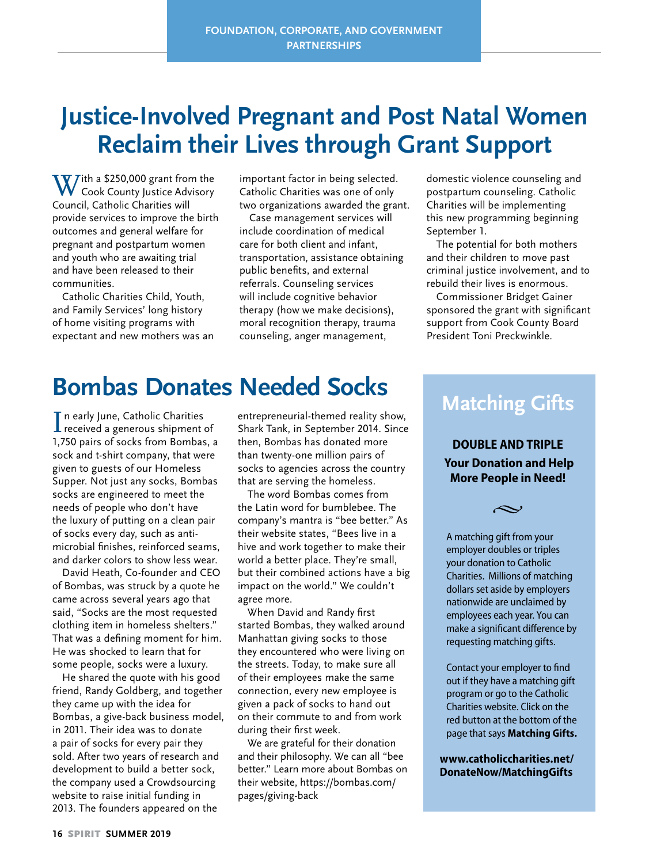# **Justice-Involved Pregnant and Post Natal Women Reclaim their Lives through Grant Support**

 $\mathbf{W}$  ith a \$250,000 grant from the Cook County Justice Advisory Council, Catholic Charities will provide services to improve the birth outcomes and general welfare for pregnant and postpartum women and youth who are awaiting trial and have been released to their communities.

Catholic Charities Child, Youth, and Family Services' long history of home visiting programs with expectant and new mothers was an important factor in being selected. Catholic Charities was one of only two organizations awarded the grant.

Case management services will include coordination of medical care for both client and infant, transportation, assistance obtaining public benefits, and external referrals. Counseling services will include cognitive behavior therapy (how we make decisions), moral recognition therapy, trauma counseling, anger management,

domestic violence counseling and postpartum counseling. Catholic Charities will be implementing this new programming beginning September 1.

The potential for both mothers and their children to move past criminal justice involvement, and to rebuild their lives is enormous.

Commissioner Bridget Gainer sponsored the grant with significant support from Cook County Board President Toni Preckwinkle.

## **Bombas Donates Needed Socks**

In early June, Catholic Charities<br>
received a generous shipment of received a generous shipment of 1,750 pairs of socks from Bombas, a sock and t-shirt company, that were given to guests of our Homeless Supper. Not just any socks, Bombas socks are engineered to meet the needs of people who don't have the luxury of putting on a clean pair of socks every day, such as antimicrobial finishes, reinforced seams, and darker colors to show less wear.

David Heath, Co-founder and CEO of Bombas, was struck by a quote he came across several years ago that said, "Socks are the most requested clothing item in homeless shelters." That was a defining moment for him. He was shocked to learn that for some people, socks were a luxury.

He shared the quote with his good friend, Randy Goldberg, and together they came up with the idea for Bombas, a give-back business model, in 2011. Their idea was to donate a pair of socks for every pair they sold. After two years of research and development to build a better sock, the company used a Crowdsourcing website to raise initial funding in 2013. The founders appeared on the

entrepreneurial-themed reality show, Shark Tank, in September 2014. Since then, Bombas has donated more than twenty-one million pairs of socks to agencies across the country that are serving the homeless.

The word Bombas comes from the Latin word for bumblebee. The company's mantra is "bee better." As their website states, "Bees live in a hive and work together to make their world a better place. They're small, but their combined actions have a big impact on the world." We couldn't agree more.

When David and Randy first started Bombas, they walked around Manhattan giving socks to those they encountered who were living on the streets. Today, to make sure all of their employees make the same connection, every new employee is given a pack of socks to hand out on their commute to and from work during their first week.

We are grateful for their donation and their philosophy. We can all "bee better." Learn more about Bombas on their website, https://bombas.com/ pages/giving-back

## **Matching Gifts**

**DOUBLE AND TRIPLE Your Donation and Help More People in Need!**

 $\sim$ 

A matching gift from your employer doubles or triples your donation to Catholic Charities. Millions of matching dollars set aside by employers nationwide are unclaimed by employees each year. You can make a significant difference by requesting matching gifts.

Contact your employer to find out if they have a matching gift program or go to the Catholic Charities website. Click on the red button at the bottom of the page that says **Matching Gifts.**

**www.catholiccharities.net/ DonateNow/MatchingGifts**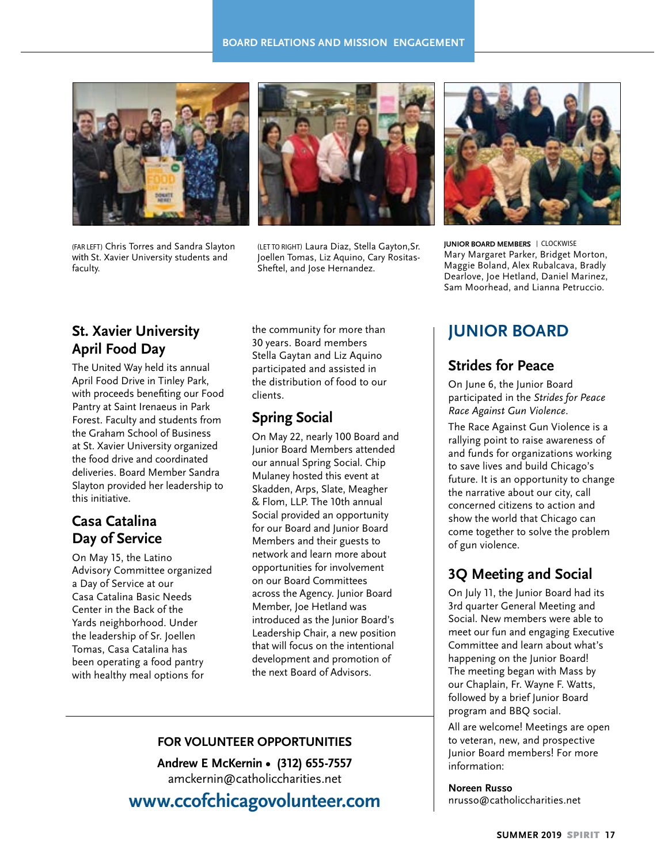

(FAR LEFT) Chris Torres and Sandra Slayton with St. Xavier University students and faculty.



(LET TO RIGHT) Laura Diaz, Stella Gayton,Sr. Joellen Tomas, Liz Aquino, Cary Rositas-Sheftel, and Jose Hernandez.



**JUNIOR BOARD MEMBERS** | CLOCKWISE Mary Margaret Parker, Bridget Morton, Maggie Boland, Alex Rubalcava, Bradly Dearlove, Joe Hetland, Daniel Marinez, Sam Moorhead, and Lianna Petruccio.

### **St. Xavier University April Food Day**

The United Way held its annual April Food Drive in Tinley Park, with proceeds benefiting our Food Pantry at Saint Irenaeus in Park Forest. Faculty and students from the Graham School of Business at St. Xavier University organized the food drive and coordinated deliveries. Board Member Sandra Slayton provided her leadership to this initiative.

### **Casa Catalina Day of Service**

On May 15, the Latino Advisory Committee organized a Day of Service at our Casa Catalina Basic Needs Center in the Back of the Yards neighborhood. Under the leadership of Sr. Joellen Tomas, Casa Catalina has been operating a food pantry with healthy meal options for

the community for more than 30 years. Board members Stella Gaytan and Liz Aquino participated and assisted in the distribution of food to our clients.

### **Spring Social**

On May 22, nearly 100 Board and Junior Board Members attended our annual Spring Social. Chip Mulaney hosted this event at Skadden, Arps, Slate, Meagher & Flom, LLP. The 10th annual Social provided an opportunity for our Board and Junior Board Members and their guests to network and learn more about opportunities for involvement on our Board Committees across the Agency. Junior Board Member, Joe Hetland was introduced as the Junior Board's Leadership Chair, a new position that will focus on the intentional development and promotion of the next Board of Advisors.

### **FOR VOLUNTEER OPPORTUNITIES**

**Andrew E McKernin • (312) 655-7557** amckernin@catholiccharities.net

**www.ccofchicagovolunteer.com**

### **JUNIOR BOARD**

### **Strides for Peace**

On June 6, the Junior Board participated in the *Strides for Peace Race Against Gun Violence*.

The Race Against Gun Violence is a rallying point to raise awareness of and funds for organizations working to save lives and build Chicago's future. It is an opportunity to change the narrative about our city, call concerned citizens to action and show the world that Chicago can come together to solve the problem of gun violence.

### **3Q Meeting and Social**

On July 11, the Junior Board had its 3rd quarter General Meeting and Social. New members were able to meet our fun and engaging Executive Committee and learn about what's happening on the Junior Board! The meeting began with Mass by our Chaplain, Fr. Wayne F. Watts, followed by a brief Junior Board program and BBQ social.

All are welcome! Meetings are open to veteran, new, and prospective Junior Board members! For more information:

**Noreen Russo** nrusso@catholiccharities.net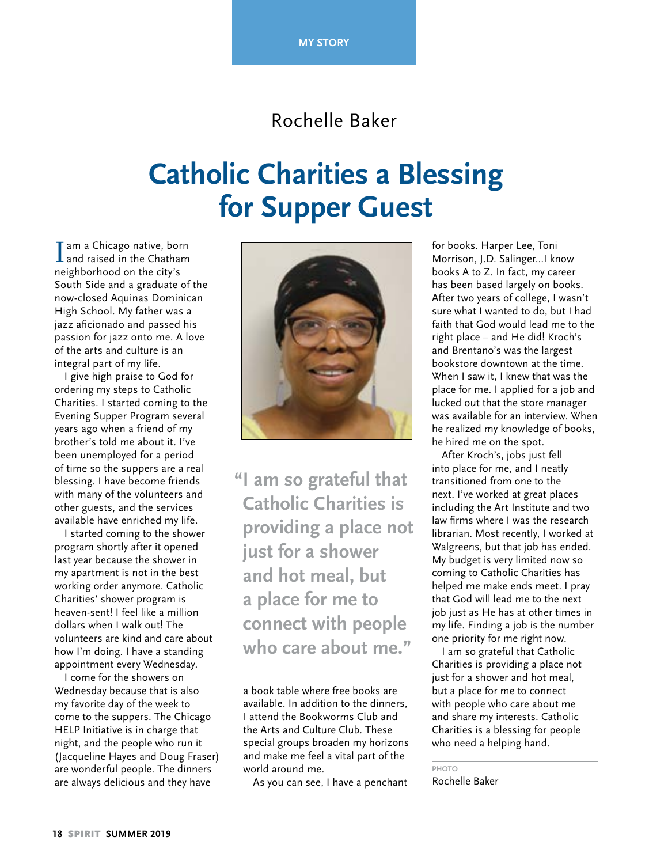### Rochelle Baker

# **Catholic Charities a Blessing for Supper Guest**

I am a Chicago native, born<br>
and raised in the Chatham neighborhood on the city's South Side and a graduate of the now-closed Aquinas Dominican High School. My father was a jazz aficionado and passed his passion for jazz onto me. A love of the arts and culture is an integral part of my life.

I give high praise to God for ordering my steps to Catholic Charities. I started coming to the Evening Supper Program several years ago when a friend of my brother's told me about it. I've been unemployed for a period of time so the suppers are a real blessing. I have become friends with many of the volunteers and other guests, and the services available have enriched my life.

I started coming to the shower program shortly after it opened last year because the shower in my apartment is not in the best working order anymore. Catholic Charities' shower program is heaven-sent! I feel like a million dollars when I walk out! The volunteers are kind and care about how I'm doing. I have a standing appointment every Wednesday.

I come for the showers on Wednesday because that is also my favorite day of the week to come to the suppers. The Chicago HELP Initiative is in charge that night, and the people who run it (Jacqueline Hayes and Doug Fraser) are wonderful people. The dinners are always delicious and they have



**"I am so grateful that Catholic Charities is providing a place not just for a shower and hot meal, but a place for me to connect with people who care about me."**

a book table where free books are available. In addition to the dinners, I attend the Bookworms Club and the Arts and Culture Club. These special groups broaden my horizons and make me feel a vital part of the world around me.

As you can see, I have a penchant

for books. Harper Lee, Toni Morrison, J.D. Salinger…I know books A to Z. In fact, my career has been based largely on books. After two years of college, I wasn't sure what I wanted to do, but I had faith that God would lead me to the right place – and He did! Kroch's and Brentano's was the largest bookstore downtown at the time. When I saw it, I knew that was the place for me. I applied for a job and lucked out that the store manager was available for an interview. When he realized my knowledge of books, he hired me on the spot.

After Kroch's, jobs just fell into place for me, and I neatly transitioned from one to the next. I've worked at great places including the Art Institute and two law firms where I was the research librarian. Most recently, I worked at Walgreens, but that job has ended. My budget is very limited now so coming to Catholic Charities has helped me make ends meet. I pray that God will lead me to the next job just as He has at other times in my life. Finding a job is the number one priority for me right now.

I am so grateful that Catholic Charities is providing a place not just for a shower and hot meal, but a place for me to connect with people who care about me and share my interests. Catholic Charities is a blessing for people who need a helping hand.

**PHOTO** Rochelle Baker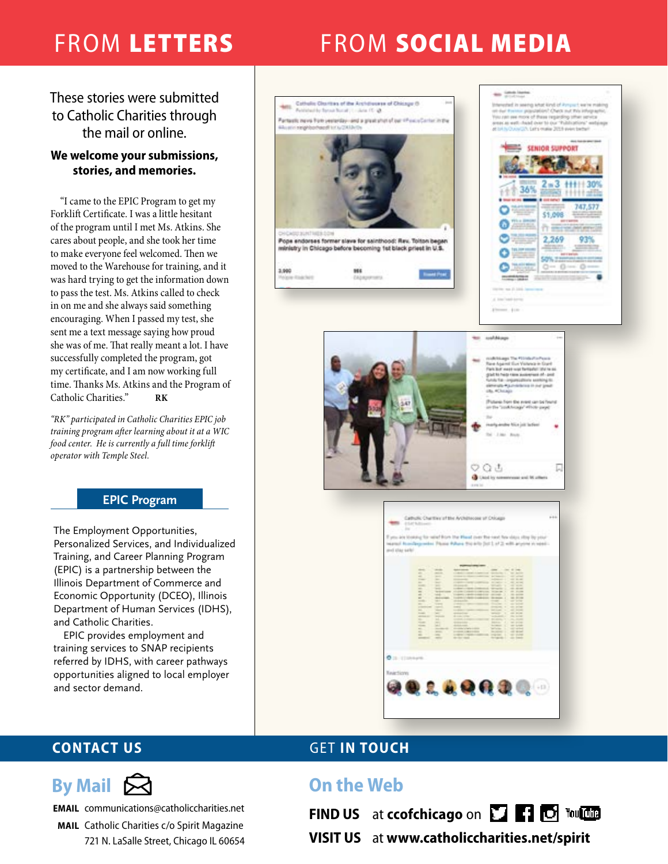# FROM LETTERS FROM SOCIAL MEDIA

These stories were submitted to Catholic Charities through the mail or online.

### **We welcome your submissions, stories, and memories.**

"I came to the EPIC Program to get my Forklift Certificate. I was a little hesitant of the program until I met Ms. Atkins. She cares about people, and she took her time to make everyone feel welcomed. Then we moved to the Warehouse for training, and it was hard trying to get the information down to pass the test. Ms. Atkins called to check in on me and she always said something encouraging. When I passed my test, she sent me a text message saying how proud she was of me. That really meant a lot. I have successfully completed the program, got my certificate, and I am now working full time. Thanks Ms. Atkins and the Program of Catholic Charities." **RK**

*"RK" participated in Catholic Charities EPIC job training program after learning about it at a WIC food center. He is currently a full time forklift operator with Temple Steel.*

### **EPIC Program**

The Employment Opportunities, Personalized Services, and Individualized Training, and Career Planning Program (EPIC) is a partnership between the Illinois Department of Commerce and Economic Opportunity (DCEO), Illinois Department of Human Services (IDHS), and Catholic Charities.

EPIC provides employment and training services to SNAP recipients referred by IDHS, with career pathways opportunities aligned to local employer and sector demand.





**EMAIL** communications@catholiccharities.net

**MAIL** Catholic Charities c/o Spirit Magazine 721 N. LaSalle Street, Chicago IL 60654

### **CONTACT US GET IN TOUCH**

### **On the Web**

**FIND US** at **ccofchicago** on **TTP C** Young

**VISIT US** at **www.catholiccharities.net/spirit**